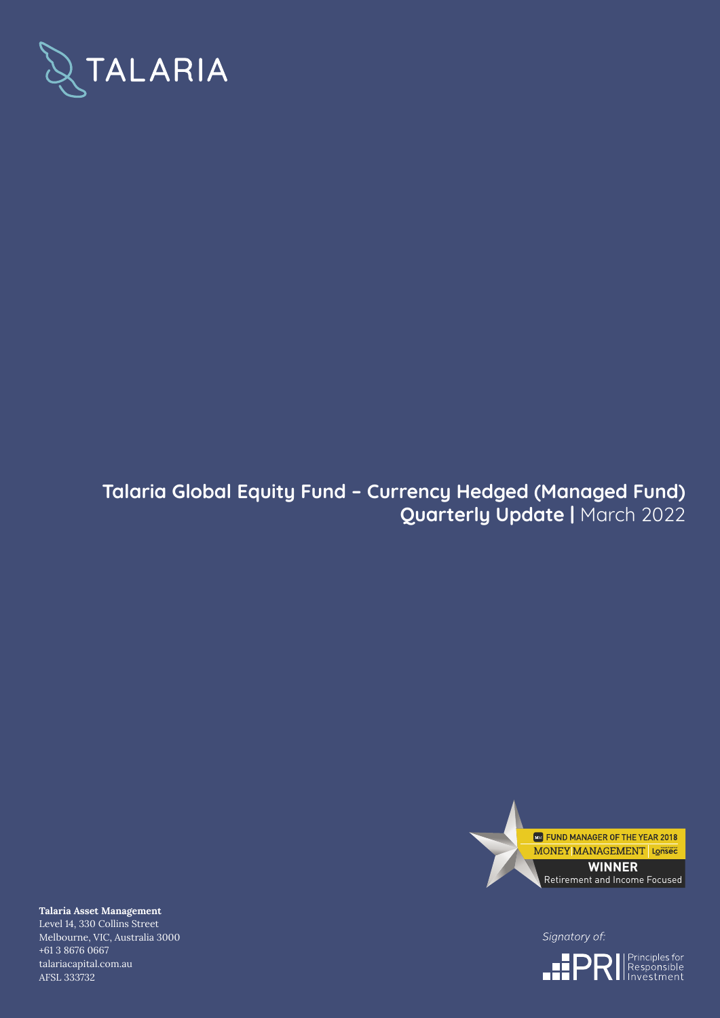

# **Talaria Global Equity Fund – Currency Hedged (Managed Fund) Quarterly Update |** March 2022



Signatory of:



**Talaria Asset Management** Level 14, 330 Collins Street Melbourne, VIC, Australia 3000 +61 3 8676 0667 talariacapital.com.au AFSL 333732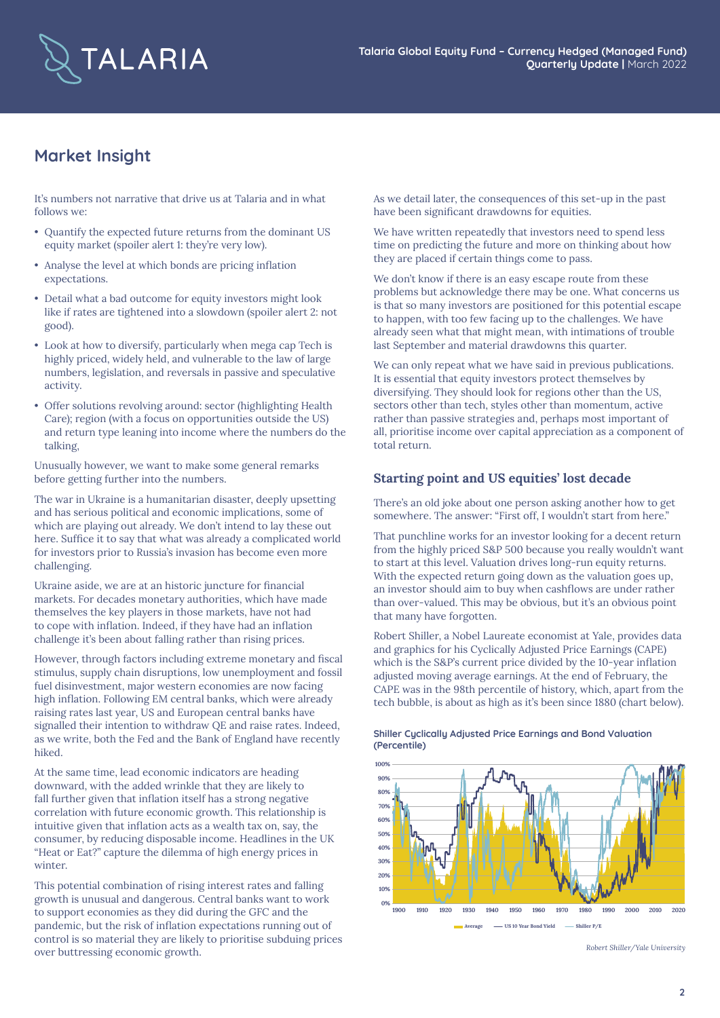

# **Market Insight**

It's numbers not narrative that drive us at Talaria and in what follows we:

- Quantify the expected future returns from the dominant US equity market (spoiler alert 1: they're very low).
- Analyse the level at which bonds are pricing inflation expectations.
- Detail what a bad outcome for equity investors might look like if rates are tightened into a slowdown (spoiler alert 2: not good).
- Look at how to diversify, particularly when mega cap Tech is highly priced, widely held, and vulnerable to the law of large numbers, legislation, and reversals in passive and speculative activity.
- Offer solutions revolving around: sector (highlighting Health Care); region (with a focus on opportunities outside the US) and return type leaning into income where the numbers do the talking,

Unusually however, we want to make some general remarks before getting further into the numbers.

The war in Ukraine is a humanitarian disaster, deeply upsetting and has serious political and economic implications, some of which are playing out already. We don't intend to lay these out here. Suffice it to say that what was already a complicated world for investors prior to Russia's invasion has become even more challenging.

Ukraine aside, we are at an historic juncture for financial markets. For decades monetary authorities, which have made themselves the key players in those markets, have not had to cope with inflation. Indeed, if they have had an inflation challenge it's been about falling rather than rising prices.

However, through factors including extreme monetary and fiscal stimulus, supply chain disruptions, low unemployment and fossil fuel disinvestment, major western economies are now facing high inflation. Following EM central banks, which were already raising rates last year, US and European central banks have signalled their intention to withdraw QE and raise rates. Indeed, as we write, both the Fed and the Bank of England have recently hiked.

At the same time, lead economic indicators are heading downward, with the added wrinkle that they are likely to fall further given that inflation itself has a strong negative correlation with future economic growth. This relationship is intuitive given that inflation acts as a wealth tax on, say, the consumer, by reducing disposable income. Headlines in the UK "Heat or Eat?" capture the dilemma of high energy prices in winter.

This potential combination of rising interest rates and falling growth is unusual and dangerous. Central banks want to work to support economies as they did during the GFC and the pandemic, but the risk of inflation expectations running out of control is so material they are likely to prioritise subduing prices over buttressing economic growth.

As we detail later, the consequences of this set-up in the past have been significant drawdowns for equities.

We have written repeatedly that investors need to spend less time on predicting the future and more on thinking about how they are placed if certain things come to pass.

We don't know if there is an easy escape route from these problems but acknowledge there may be one. What concerns us is that so many investors are positioned for this potential escape to happen, with too few facing up to the challenges. We have already seen what that might mean, with intimations of trouble last September and material drawdowns this quarter.

We can only repeat what we have said in previous publications. It is essential that equity investors protect themselves by diversifying. They should look for regions other than the US, sectors other than tech, styles other than momentum, active rather than passive strategies and, perhaps most important of all, prioritise income over capital appreciation as a component of total return.

## **Starting point and US equities' lost decade**

There's an old joke about one person asking another how to get somewhere. The answer: "First off, I wouldn't start from here."

That punchline works for an investor looking for a decent return from the highly priced S&P 500 because you really wouldn't want to start at this level. Valuation drives long-run equity returns. With the expected return going down as the valuation goes up, an investor should aim to buy when cashflows are under rather than over-valued. This may be obvious, but it's an obvious point that many have forgotten.

Robert Shiller, a Nobel Laureate economist at Yale, provides data and graphics for his Cyclically Adjusted Price Earnings (CAPE) which is the S&P's current price divided by the 10-year inflation adjusted moving average earnings. At the end of February, the CAPE was in the 98th percentile of history, which, apart from the tech bubble, is about as high as it's been since 1880 (chart below).



**Shiller Cyclically Adjusted Price Earnings and Bond Valuation (Percentile)**

*Robert Shiller/Yale University*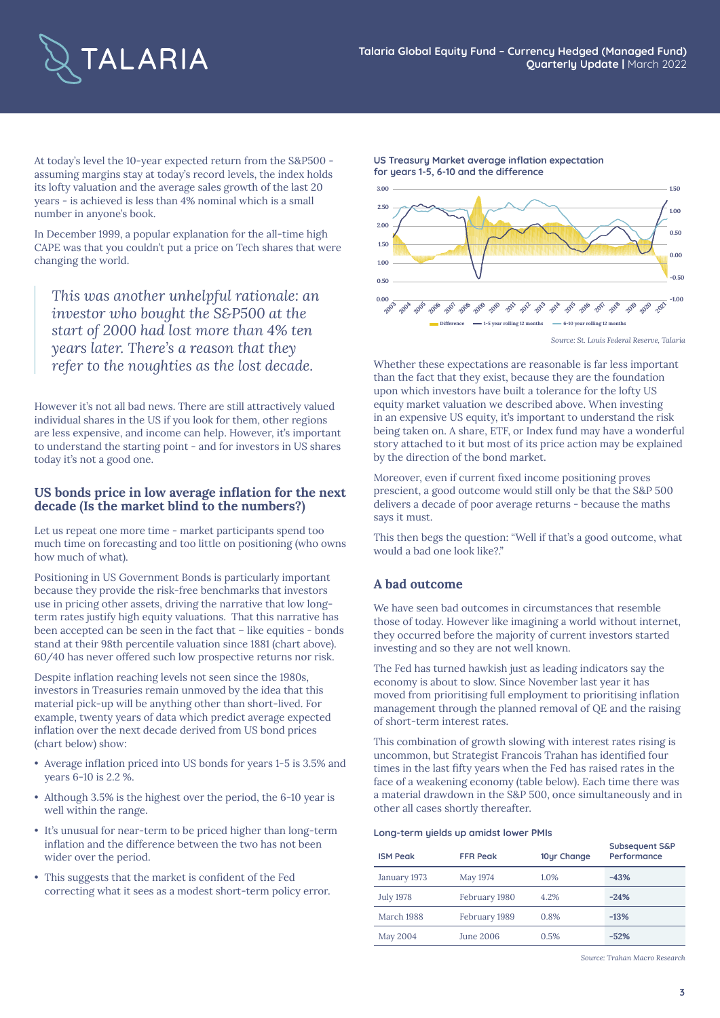

**US Treasury Market average inflation expectation**

**for years 1-5, 6-10 and the difference**

At today's level the 10-year expected return from the S&P500 assuming margins stay at today's record levels, the index holds its lofty valuation and the average sales growth of the last 20 years - is achieved is less than 4% nominal which is a small number in anyone's book.

In December 1999, a popular explanation for the all-time high CAPE was that you couldn't put a price on Tech shares that were changing the world.

*This was another unhelpful rationale: an investor who bought the S&P500 at the start of 2000 had lost more than 4% ten years later. There's a reason that they* 

However it's not all bad news. There are still attractively valued individual shares in the US if you look for them, other regions are less expensive, and income can help. However, it's important to understand the starting point - and for investors in US shares today it's not a good one.

### **US bonds price in low average inflation for the next decade (Is the market blind to the numbers?)**

Let us repeat one more time - market participants spend too much time on forecasting and too little on positioning (who owns how much of what).

Positioning in US Government Bonds is particularly important because they provide the risk-free benchmarks that investors use in pricing other assets, driving the narrative that low longterm rates justify high equity valuations. That this narrative has been accepted can be seen in the fact that – like equities - bonds stand at their 98th percentile valuation since 1881 (chart above). 60/40 has never offered such low prospective returns nor risk.

Despite inflation reaching levels not seen since the 1980s, investors in Treasuries remain unmoved by the idea that this material pick-up will be anything other than short-lived. For example, twenty years of data which predict average expected inflation over the next decade derived from US bond prices (chart below) show:

- Average inflation priced into US bonds for years 1-5 is 3.5% and years 6-10 is 2.2 %.
- Although 3.5% is the highest over the period, the 6-10 year is well within the range.
- It's unusual for near-term to be priced higher than long-term inflation and the difference between the two has not been wider over the period.
- This suggests that the market is confident of the Fed correcting what it sees as a modest short-term policy error.



*Source: St. Louis Federal Reserve, Talaria*

*refer to the noughties as the lost decade.* Whether these expectations are reasonable is far less important than the fact that they exist, because they are the foundation upon which investors have built a tolerance for the lofty US equity market valuation we described above. When investing in an expensive US equity, it's important to understand the risk being taken on. A share, ETF, or Index fund may have a wonderful story attached to it but most of its price action may be explained by the direction of the bond market.

> Moreover, even if current fixed income positioning proves prescient, a good outcome would still only be that the S&P 500 delivers a decade of poor average returns - because the maths says it must.

This then begs the question: "Well if that's a good outcome, what would a bad one look like?."

## **A bad outcome**

We have seen bad outcomes in circumstances that resemble those of today. However like imagining a world without internet, they occurred before the majority of current investors started investing and so they are not well known.

The Fed has turned hawkish just as leading indicators say the economy is about to slow. Since November last year it has moved from prioritising full employment to prioritising inflation management through the planned removal of QE and the raising of short-term interest rates.

This combination of growth slowing with interest rates rising is uncommon, but Strategist Francois Trahan has identified four times in the last fifty years when the Fed has raised rates in the face of a weakening economy (table below). Each time there was a material drawdown in the S&P 500, once simultaneously and in other all cases shortly thereafter.

#### **Long-term yields up amidst lower PMIs**

| <b>ISM Peak</b>  | <b>FFR Peak</b> | 10ur Change | Subsequent S&P<br>Performance |
|------------------|-----------------|-------------|-------------------------------|
| January 1973     | May 1974        | 1.0%        | $-43%$                        |
| <b>July 1978</b> | February 1980   | 4.2%        | $-24%$                        |
| March 1988       | February 1989   | 0.8%        | $-13%$                        |
| May 2004         | June 2006       | 0.5%        | $-52%$                        |

*Source: Trahan Macro Research*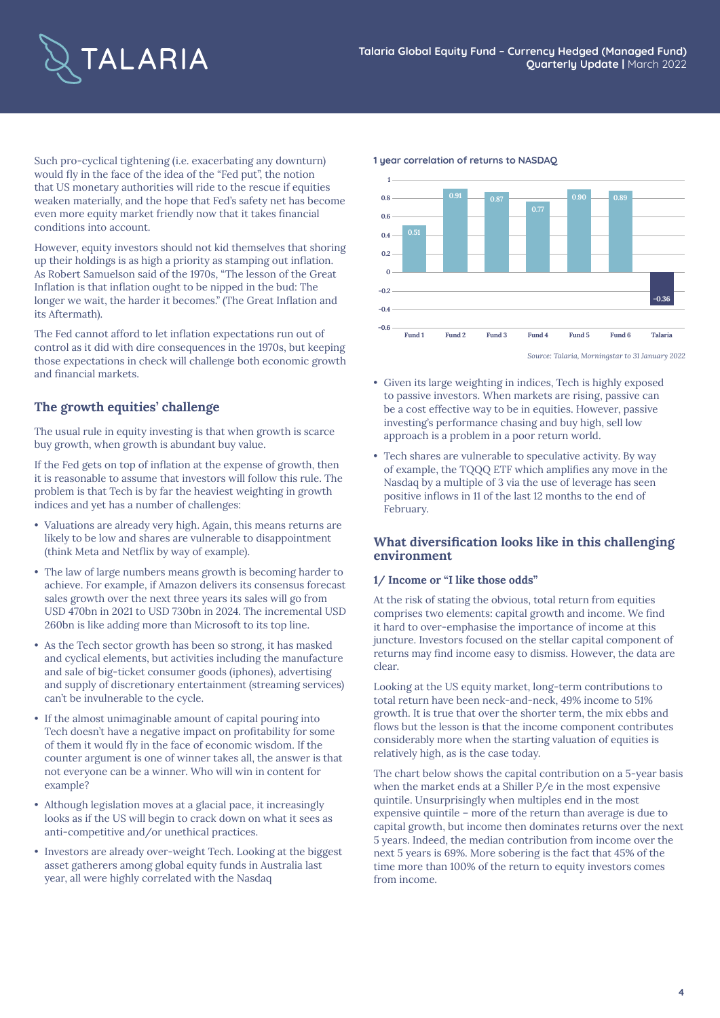

Such pro-cyclical tightening (i.e. exacerbating any downturn) would fly in the face of the idea of the "Fed put", the notion that US monetary authorities will ride to the rescue if equities weaken materially, and the hope that Fed's safety net has become even more equity market friendly now that it takes financial conditions into account.

However, equity investors should not kid themselves that shoring up their holdings is as high a priority as stamping out inflation. As Robert Samuelson said of the 1970s, "The lesson of the Great Inflation is that inflation ought to be nipped in the bud: The longer we wait, the harder it becomes." (The Great Inflation and its Aftermath).

The Fed cannot afford to let inflation expectations run out of control as it did with dire consequences in the 1970s, but keeping those expectations in check will challenge both economic growth and financial markets.

## **The growth equities' challenge**

The usual rule in equity investing is that when growth is scarce buy growth, when growth is abundant buy value.

If the Fed gets on top of inflation at the expense of growth, then it is reasonable to assume that investors will follow this rule. The problem is that Tech is by far the heaviest weighting in growth indices and yet has a number of challenges:

- Valuations are already very high. Again, this means returns are likely to be low and shares are vulnerable to disappointment (think Meta and Netflix by way of example).
- The law of large numbers means growth is becoming harder to achieve. For example, if Amazon delivers its consensus forecast sales growth over the next three years its sales will go from USD 470bn in 2021 to USD 730bn in 2024. The incremental USD 260bn is like adding more than Microsoft to its top line.
- As the Tech sector growth has been so strong, it has masked and cyclical elements, but activities including the manufacture and sale of big-ticket consumer goods (iphones), advertising and supply of discretionary entertainment (streaming services) can't be invulnerable to the cycle.
- If the almost unimaginable amount of capital pouring into Tech doesn't have a negative impact on profitability for some of them it would fly in the face of economic wisdom. If the counter argument is one of winner takes all, the answer is that not everyone can be a winner. Who will win in content for example?
- Although legislation moves at a glacial pace, it increasingly looks as if the US will begin to crack down on what it sees as anti-competitive and/or unethical practices.
- Investors are already over-weight Tech. Looking at the biggest asset gatherers among global equity funds in Australia last year, all were highly correlated with the Nasdaq





*Source: Talaria, Morningstar to 31 January 2022*

- Given its large weighting in indices, Tech is highly exposed to passive investors. When markets are rising, passive can be a cost effective way to be in equities. However, passive investing's performance chasing and buy high, sell low approach is a problem in a poor return world.
- Tech shares are vulnerable to speculative activity. By way of example, the TQQQ ETF which amplifies any move in the Nasdaq by a multiple of 3 via the use of leverage has seen positive inflows in 11 of the last 12 months to the end of February.

## **What diversification looks like in this challenging environment**

#### **1/ Income or "I like those odds"**

At the risk of stating the obvious, total return from equities comprises two elements: capital growth and income. We find it hard to over-emphasise the importance of income at this juncture. Investors focused on the stellar capital component of returns may find income easy to dismiss. However, the data are clear.

Looking at the US equity market, long-term contributions to total return have been neck-and-neck, 49% income to 51% growth. It is true that over the shorter term, the mix ebbs and flows but the lesson is that the income component contributes considerably more when the starting valuation of equities is relatively high, as is the case today.

The chart below shows the capital contribution on a 5-year basis when the market ends at a Shiller P/e in the most expensive quintile. Unsurprisingly when multiples end in the most expensive quintile – more of the return than average is due to capital growth, but income then dominates returns over the next 5 years. Indeed, the median contribution from income over the next 5 years is 69%. More sobering is the fact that 45% of the time more than 100% of the return to equity investors comes from income.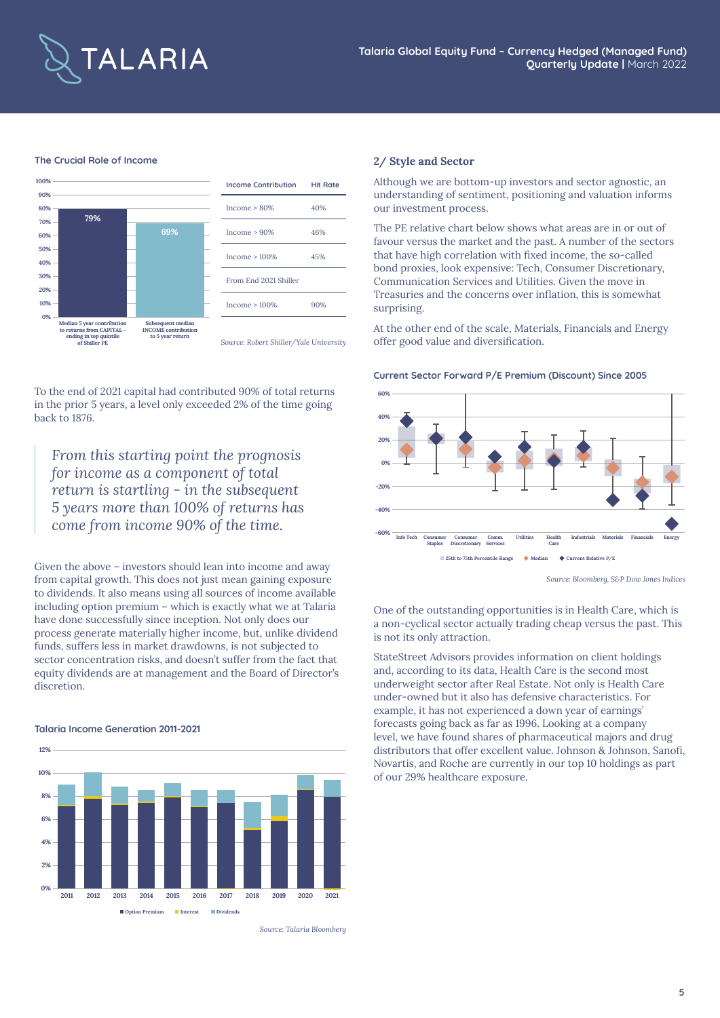

#### **The Crucial Role of Income**



To the end of 2021 capital had contributed 90% of total returns in the prior 5 years, a level only exceeded 2% of the time going back to 1876.

*From this starting point the prognosis for income as a component of total return is startling - in the subsequent 5 years more than 100% of returns has come from income 90% of the time.*

Given the above – investors should lean into income and away from capital growth. This does not just mean gaining exposure to dividends. It also means using all sources of income available including option premium – which is exactly what we at Talaria have done successfully since inception. Not only does our process generate materially higher income, but, unlike dividend funds, suffers less in market drawdowns, is not subjected to sector concentration risks, and doesn't suffer from the fact that equity dividends are at management and the Board of Director's discretion.

#### **Talaria Income Generation 2011-2021**



*Source: Talaria Bloomberg*

#### **2/ Style and Sector**

Although we are bottom-up investors and sector agnostic, an understanding of sentiment, positioning and valuation informs our investment process.

The PE relative chart below shows what areas are in or out of favour versus the market and the past. A number of the sectors that have high correlation with fixed income, the so-called bond proxies, look expensive: Tech, Consumer Discretionary, Communication Services and Utilities. Given the move in Treasuries and the concerns over inflation, this is somewhat surprising.

At the other end of the scale, Materials, Financials and Energy offer good value and diversification.

#### **Current Sector Forward P/E Premium (Discount) Since 2005**



*Source: Bloomberg, S&P Dow Jones Indices*

One of the outstanding opportunities is in Health Care, which is a non-cyclical sector actually trading cheap versus the past. This is not its only attraction.

StateStreet Advisors provides information on client holdings and, according to its data, Health Care is the second most underweight sector after Real Estate. Not only is Health Care under-owned but it also has defensive characteristics. For example, it has not experienced a down year of earnings' forecasts going back as far as 1996. Looking at a company level, we have found shares of pharmaceutical majors and drug distributors that offer excellent value. Johnson & Johnson, Sanofi, Novartis, and Roche are currently in our top 10 holdings as part of our 29% healthcare exposure.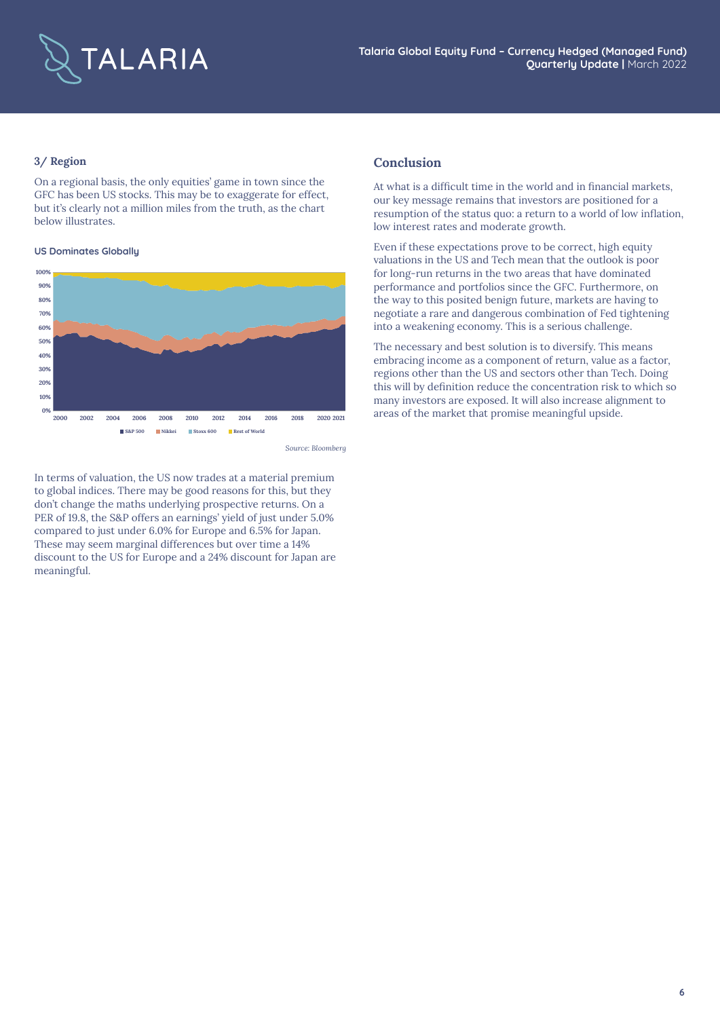

### **3/ Region**

On a regional basis, the only equities' game in town since the GFC has been US stocks. This may be to exaggerate for effect, but it's clearly not a million miles from the truth, as the chart below illustrates.

#### **US Dominates Globally**



*Source: Bloomberg*

In terms of valuation, the US now trades at a material premium to global indices. There may be good reasons for this, but they don't change the maths underlying prospective returns. On a PER of 19.8, the S&P offers an earnings' yield of just under 5.0% compared to just under 6.0% for Europe and 6.5% for Japan. These may seem marginal differences but over time a 14% discount to the US for Europe and a 24% discount for Japan are meaningful.

#### **Conclusion**

At what is a difficult time in the world and in financial markets, our key message remains that investors are positioned for a resumption of the status quo: a return to a world of low inflation, low interest rates and moderate growth.

Even if these expectations prove to be correct, high equity valuations in the US and Tech mean that the outlook is poor for long-run returns in the two areas that have dominated performance and portfolios since the GFC. Furthermore, on the way to this posited benign future, markets are having to negotiate a rare and dangerous combination of Fed tightening into a weakening economy. This is a serious challenge.

The necessary and best solution is to diversify. This means embracing income as a component of return, value as a factor, regions other than the US and sectors other than Tech. Doing this will by definition reduce the concentration risk to which so many investors are exposed. It will also increase alignment to areas of the market that promise meaningful upside.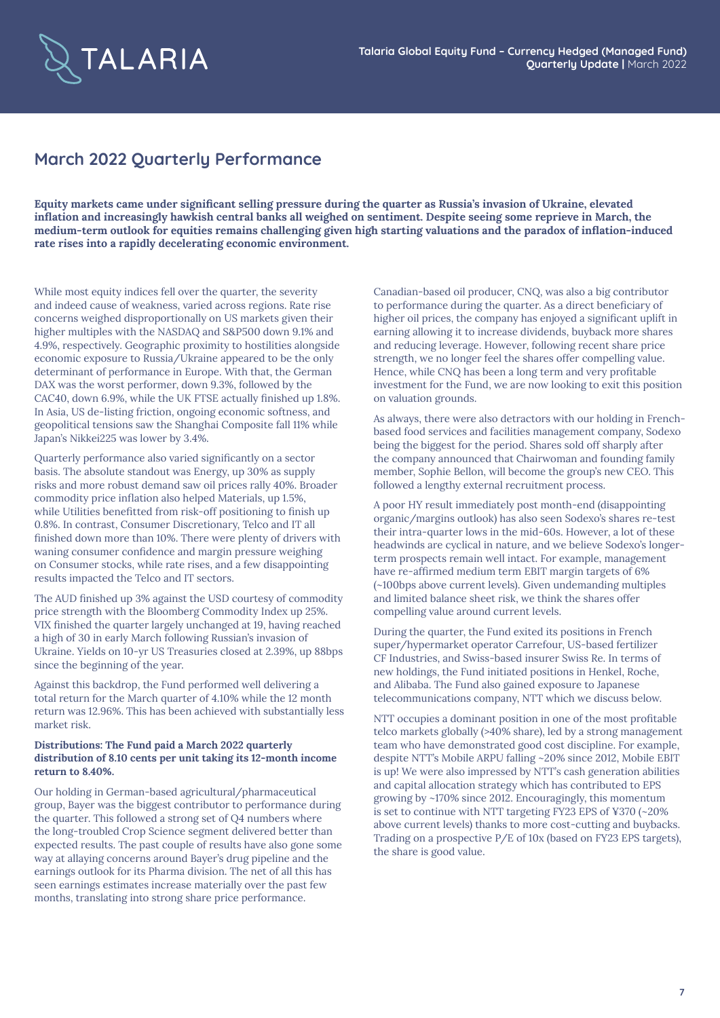

## **March 2022 Quarterly Performance**

**Equity markets came under significant selling pressure during the quarter as Russia's invasion of Ukraine, elevated inflation and increasingly hawkish central banks all weighed on sentiment. Despite seeing some reprieve in March, the medium-term outlook for equities remains challenging given high starting valuations and the paradox of inflation-induced rate rises into a rapidly decelerating economic environment.** 

While most equity indices fell over the quarter, the severity and indeed cause of weakness, varied across regions. Rate rise concerns weighed disproportionally on US markets given their higher multiples with the NASDAQ and S&P500 down 9.1% and 4.9%, respectively. Geographic proximity to hostilities alongside economic exposure to Russia/Ukraine appeared to be the only determinant of performance in Europe. With that, the German DAX was the worst performer, down 9.3%, followed by the CAC40, down 6.9%, while the UK FTSE actually finished up 1.8%. In Asia, US de-listing friction, ongoing economic softness, and geopolitical tensions saw the Shanghai Composite fall 11% while Japan's Nikkei225 was lower by 3.4%.

Quarterly performance also varied significantly on a sector basis. The absolute standout was Energy, up 30% as supply risks and more robust demand saw oil prices rally 40%. Broader commodity price inflation also helped Materials, up 1.5%, while Utilities benefitted from risk-off positioning to finish up 0.8%. In contrast, Consumer Discretionary, Telco and IT all finished down more than 10%. There were plenty of drivers with waning consumer confidence and margin pressure weighing on Consumer stocks, while rate rises, and a few disappointing results impacted the Telco and IT sectors.

The AUD finished up 3% against the USD courtesy of commodity price strength with the Bloomberg Commodity Index up 25%. VIX finished the quarter largely unchanged at 19, having reached a high of 30 in early March following Russian's invasion of Ukraine. Yields on 10-yr US Treasuries closed at 2.39%, up 88bps since the beginning of the year.

Against this backdrop, the Fund performed well delivering a total return for the March quarter of 4.10% while the 12 month return was 12.96%. This has been achieved with substantially less market risk.

#### **Distributions: The Fund paid a March 2022 quarterly distribution of 8.10 cents per unit taking its 12-month income return to 8.40%.**

Our holding in German-based agricultural/pharmaceutical group, Bayer was the biggest contributor to performance during the quarter. This followed a strong set of Q4 numbers where the long-troubled Crop Science segment delivered better than expected results. The past couple of results have also gone some way at allaying concerns around Bayer's drug pipeline and the earnings outlook for its Pharma division. The net of all this has seen earnings estimates increase materially over the past few months, translating into strong share price performance.

Canadian-based oil producer, CNQ, was also a big contributor to performance during the quarter. As a direct beneficiary of higher oil prices, the company has enjoyed a significant uplift in earning allowing it to increase dividends, buyback more shares and reducing leverage. However, following recent share price strength, we no longer feel the shares offer compelling value. Hence, while CNQ has been a long term and very profitable investment for the Fund, we are now looking to exit this position on valuation grounds.

As always, there were also detractors with our holding in Frenchbased food services and facilities management company, Sodexo being the biggest for the period. Shares sold off sharply after the company announced that Chairwoman and founding family member, Sophie Bellon, will become the group's new CEO. This followed a lengthy external recruitment process.

A poor HY result immediately post month-end (disappointing organic/margins outlook) has also seen Sodexo's shares re-test their intra-quarter lows in the mid-60s. However, a lot of these headwinds are cyclical in nature, and we believe Sodexo's longerterm prospects remain well intact. For example, management have re-affirmed medium term EBIT margin targets of 6% (~100bps above current levels). Given undemanding multiples and limited balance sheet risk, we think the shares offer compelling value around current levels.

During the quarter, the Fund exited its positions in French super/hypermarket operator Carrefour, US-based fertilizer CF Industries, and Swiss-based insurer Swiss Re. In terms of new holdings, the Fund initiated positions in Henkel, Roche, and Alibaba. The Fund also gained exposure to Japanese telecommunications company, NTT which we discuss below.

NTT occupies a dominant position in one of the most profitable telco markets globally (>40% share), led by a strong management team who have demonstrated good cost discipline. For example, despite NTT's Mobile ARPU falling ~20% since 2012, Mobile EBIT is up! We were also impressed by NTT's cash generation abilities and capital allocation strategy which has contributed to EPS growing by ~170% since 2012. Encouragingly, this momentum is set to continue with NTT targeting FY23 EPS of ¥370 (~20% above current levels) thanks to more cost-cutting and buybacks. Trading on a prospective P/E of 10x (based on FY23 EPS targets), the share is good value.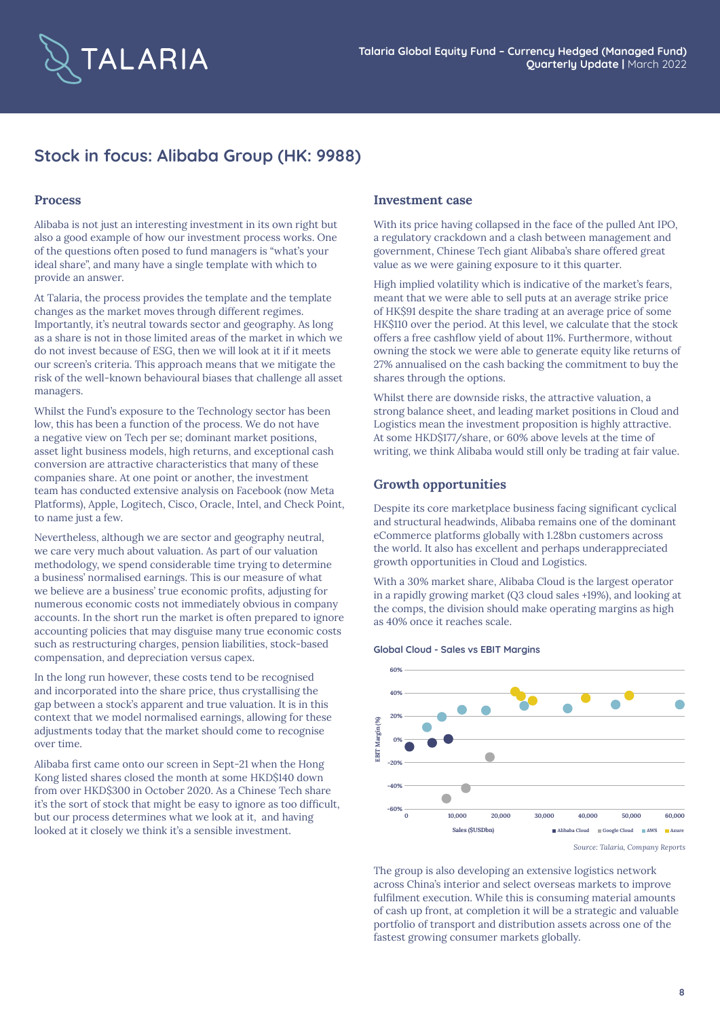

# **Stock in focus: Alibaba Group (HK: 9988)**

#### **Process**

Alibaba is not just an interesting investment in its own right but also a good example of how our investment process works. One of the questions often posed to fund managers is "what's your ideal share", and many have a single template with which to provide an answer.

At Talaria, the process provides the template and the template changes as the market moves through different regimes. Importantly, it's neutral towards sector and geography. As long as a share is not in those limited areas of the market in which we do not invest because of ESG, then we will look at it if it meets our screen's criteria. This approach means that we mitigate the risk of the well-known behavioural biases that challenge all asset managers.

Whilst the Fund's exposure to the Technology sector has been low, this has been a function of the process. We do not have a negative view on Tech per se; dominant market positions, asset light business models, high returns, and exceptional cash conversion are attractive characteristics that many of these companies share. At one point or another, the investment team has conducted extensive analysis on Facebook (now Meta Platforms), Apple, Logitech, Cisco, Oracle, Intel, and Check Point, to name just a few.

Nevertheless, although we are sector and geography neutral, we care very much about valuation. As part of our valuation methodology, we spend considerable time trying to determine a business' normalised earnings. This is our measure of what we believe are a business' true economic profits, adjusting for numerous economic costs not immediately obvious in company accounts. In the short run the market is often prepared to ignore accounting policies that may disguise many true economic costs such as restructuring charges, pension liabilities, stock-based compensation, and depreciation versus capex.

In the long run however, these costs tend to be recognised and incorporated into the share price, thus crystallising the gap between a stock's apparent and true valuation. It is in this context that we model normalised earnings, allowing for these adjustments today that the market should come to recognise over time.

Alibaba first came onto our screen in Sept-21 when the Hong Kong listed shares closed the month at some HKD\$140 down from over HKD\$300 in October 2020. As a Chinese Tech share it's the sort of stock that might be easy to ignore as too difficult, but our process determines what we look at it, and having looked at it closely we think it's a sensible investment.

### **Investment case**

With its price having collapsed in the face of the pulled Ant IPO, a regulatory crackdown and a clash between management and government, Chinese Tech giant Alibaba's share offered great value as we were gaining exposure to it this quarter.

High implied volatility which is indicative of the market's fears, meant that we were able to sell puts at an average strike price of HK\$91 despite the share trading at an average price of some HK\$110 over the period. At this level, we calculate that the stock offers a free cashflow yield of about 11%. Furthermore, without owning the stock we were able to generate equity like returns of 27% annualised on the cash backing the commitment to buy the shares through the options.

Whilst there are downside risks, the attractive valuation, a strong balance sheet, and leading market positions in Cloud and Logistics mean the investment proposition is highly attractive. At some HKD\$177/share, or 60% above levels at the time of writing, we think Alibaba would still only be trading at fair value.

### **Growth opportunities**

Despite its core marketplace business facing significant cyclical and structural headwinds, Alibaba remains one of the dominant eCommerce platforms globally with 1.28bn customers across the world. It also has excellent and perhaps underappreciated growth opportunities in Cloud and Logistics.

With a 30% market share, Alibaba Cloud is the largest operator in a rapidly growing market (Q3 cloud sales +19%), and looking at the comps, the division should make operating margins as high as 40% once it reaches scale.

#### **Global Cloud - Sales vs EBIT Margins**



*Source: Talaria, Company Reports*

The group is also developing an extensive logistics network across China's interior and select overseas markets to improve fulfilment execution. While this is consuming material amounts of cash up front, at completion it will be a strategic and valuable portfolio of transport and distribution assets across one of the fastest growing consumer markets globally.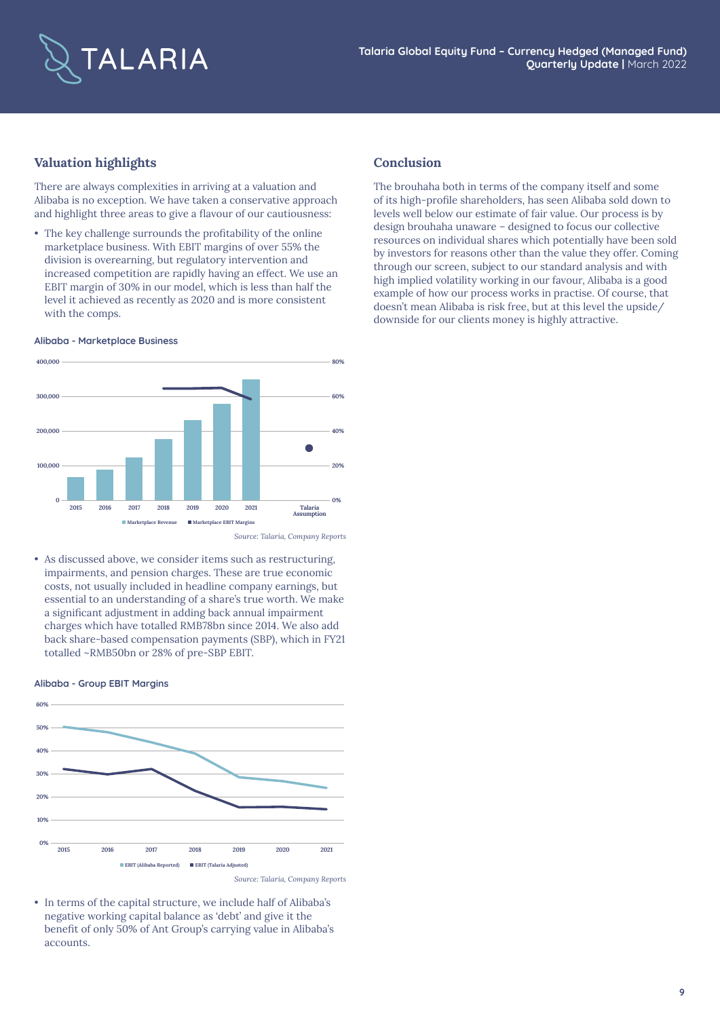

## **Valuation highlights**

There are always complexities in arriving at a valuation and Alibaba is no exception. We have taken a conservative approach and highlight three areas to give a flavour of our cautiousness:

• The key challenge surrounds the profitability of the online marketplace business. With EBIT margins of over 55% the division is overearning, but regulatory intervention and increased competition are rapidly having an effect. We use an EBIT margin of 30% in our model, which is less than half the level it achieved as recently as 2020 and is more consistent with the comps.

#### **Alibaba - Marketplace Business**



*Source: Talaria, Company Reports*

• As discussed above, we consider items such as restructuring, impairments, and pension charges. These are true economic costs, not usually included in headline company earnings, but essential to an understanding of a share's true worth. We make a significant adjustment in adding back annual impairment charges which have totalled RMB78bn since 2014. We also add back share-based compensation payments (SBP), which in FY21 totalled ~RMB50bn or 28% of pre-SBP EBIT.

#### **Alibaba - Group EBIT Margins**



• In terms of the capital structure, we include half of Alibaba's negative working capital balance as 'debt' and give it the benefit of only 50% of Ant Group's carrying value in Alibaba's accounts.

### **Conclusion**

The brouhaha both in terms of the company itself and some of its high-profile shareholders, has seen Alibaba sold down to levels well below our estimate of fair value. Our process is by design brouhaha unaware – designed to focus our collective resources on individual shares which potentially have been sold by investors for reasons other than the value they offer. Coming through our screen, subject to our standard analysis and with high implied volatility working in our favour, Alibaba is a good example of how our process works in practise. Of course, that doesn't mean Alibaba is risk free, but at this level the upside/ downside for our clients money is highly attractive.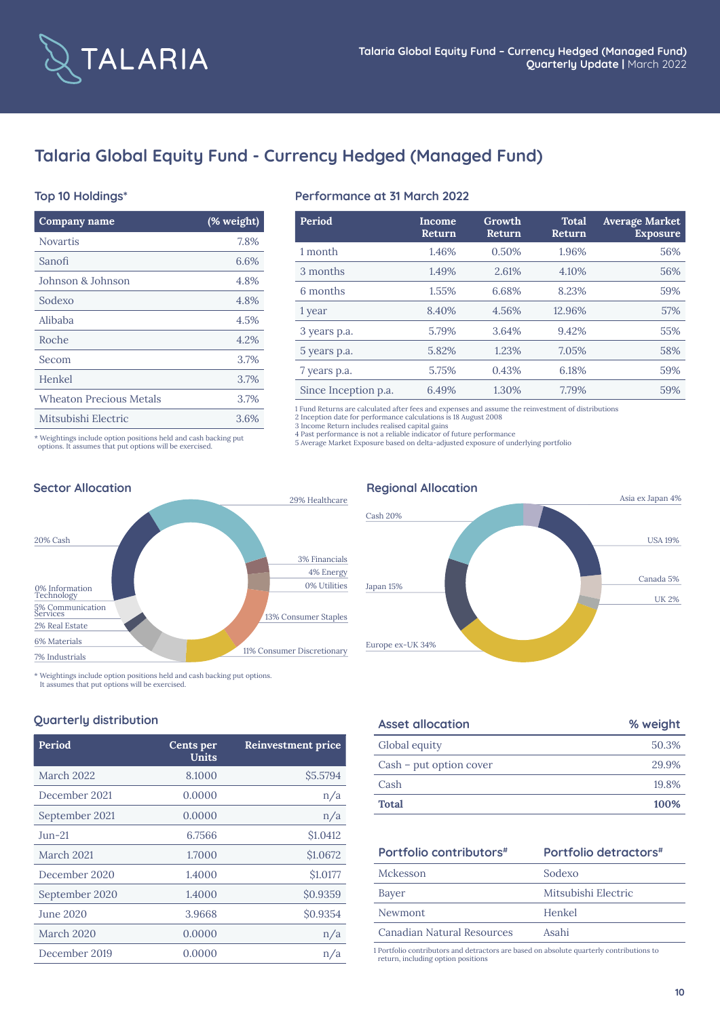

# **Talaria Global Equity Fund - Currency Hedged (Managed Fund)**

### **Top 10 Holdings\***

| Company name                   | (% weight) |
|--------------------------------|------------|
| <b>Novartis</b>                | 7.8%       |
| Sanofi                         | 6.6%       |
| Johnson & Johnson              | 4.8%       |
| Sodexo                         | 4.8%       |
| Alibaba                        | 4.5%       |
| Roche                          | 4.2%       |
| Secom                          | 3.7%       |
| Henkel                         | 3.7%       |
| <b>Wheaton Precious Metals</b> | 3.7%       |
| Mitsubishi Electric            | 3.6%       |

### **Performance at 31 March 2022**

| Period               | Income<br>Return | Growth<br>Return | <b>Total</b><br>Return | <b>Average Market</b><br><b>Exposure</b> |
|----------------------|------------------|------------------|------------------------|------------------------------------------|
| 1 month              | 1.46%            | 0.50%            | 1.96%                  | 56%                                      |
| 3 months             | 1.49%            | 2.61%            | 4.10%                  | 56%                                      |
| 6 months             | 1.55%            | 6.68%            | 8.23%                  | 59%                                      |
| 1 year               | 8.40%            | 4.56%            | 12.96%                 | 57%                                      |
| 3 years p.a.         | 5.79%            | 3.64%            | 9.42%                  | 55%                                      |
| 5 years p.a.         | 5.82%            | 1.23%            | 7.05%                  | 58%                                      |
| 7 years p.a.         | 5.75%            | 0.43%            | 6.18%                  | 59%                                      |
| Since Inception p.a. | 6.49%            | 1.30%            | 7.79%                  | 59%                                      |

1 Fund Returns are calculated after fees and expenses and assume the reinvestment of distributions 2 Inception date for performance calculations is 18 August 2008

3 Income Return includes realised capital gains 4 Past performance is not a reliable indicator of future performance

5 Average Market Exposure based on delta-adjusted exposure of underlying portfolio

\* Weightings include option positions held and cash backing put options. It assumes that put options will be exercised.



\* Weightings include option positions held and cash backing put options.

It assumes that put options will be exercised.

### **Quarterly distribution**

| Period           | Cents per<br>Units | <b>Reinvestment price</b> |
|------------------|--------------------|---------------------------|
| March 2022       | 8.1000             | \$5.5794                  |
| December 2021    | 0.0000             | n/a                       |
| September 2021   | 0.0000             | n/a                       |
| $Jun-21$         | 6.7566             | \$1.0412                  |
| March 2021       | 1.7000             | \$1.0672                  |
| December 2020    | 1.4000             | \$1.0177                  |
| September 2020   | 1.4000             | \$0.9359                  |
| <b>June 2020</b> | 3.9668             | \$0.9354                  |
| March 2020       | 0.0000             | n/a                       |
| December 2019    | 0.0000             | n/a                       |

# Japan 15% Cash 20% Europe ex-UK 34% USA 19% UK 2% Canada 5% Asia ex Japan 4%

| <b>Asset allocation</b> | % weight |
|-------------------------|----------|
| Global equity           | 50.3%    |
| Cash – put option cover | 29.9%    |
| Cash                    | 19.8%    |
| <b>Total</b>            | 100%     |

## **Portfolio contributors**#

|  |  | Portfolio detractors <sup>#</sup> |
|--|--|-----------------------------------|
|--|--|-----------------------------------|

| Mckesson                   | Sodexo              |
|----------------------------|---------------------|
| Bayer                      | Mitsubishi Electric |
| Newmont                    | Henkel              |
| Canadian Natural Resources | Asahi               |

1 Portfolio contributors and detractors are based on absolute quarterly contributions to return, including option positions